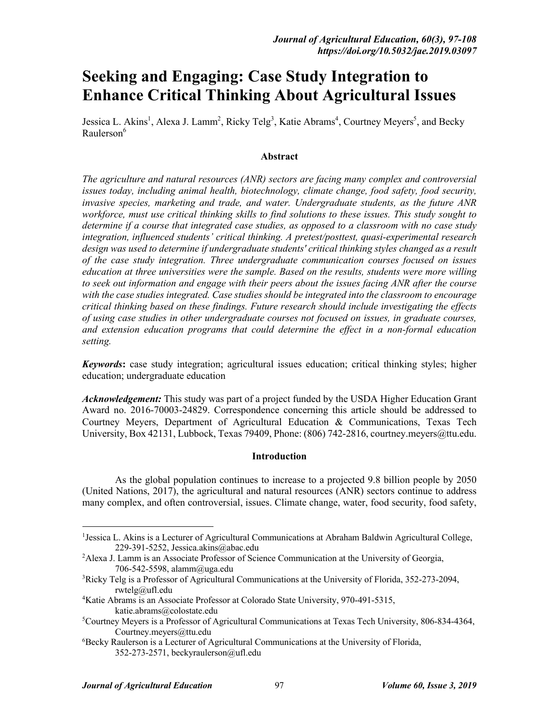# **Seeking and Engaging: Case Study Integration to Enhance Critical Thinking About Agricultural Issues**

Jessica L. Akins<sup>1</sup>, Alexa J. Lamm<sup>2</sup>, Ricky Telg<sup>3</sup>, Katie Abrams<sup>4</sup>, Courtney Meyers<sup>5</sup>, and Becky Raulerson<sup>6</sup>

## **Abstract**

*The agriculture and natural resources (ANR) sectors are facing many complex and controversial issues today, including animal health, biotechnology, climate change, food safety, food security, invasive species, marketing and trade, and water. Undergraduate students, as the future ANR workforce, must use critical thinking skills to find solutions to these issues. This study sought to determine if a course that integrated case studies, as opposed to a classroom with no case study integration, influenced students' critical thinking. A pretest/posttest, quasi-experimental research design was used to determine if undergraduate students' critical thinking styles changed as a result of the case study integration. Three undergraduate communication courses focused on issues education at three universities were the sample. Based on the results, students were more willing to seek out information and engage with their peers about the issues facing ANR after the course with the case studies integrated. Case studies should be integrated into the classroom to encourage critical thinking based on these findings. Future research should include investigating the effects of using case studies in other undergraduate courses not focused on issues, in graduate courses, and extension education programs that could determine the effect in a non-formal education setting.* 

*Keywords***:** case study integration; agricultural issues education; critical thinking styles; higher education; undergraduate education

*Acknowledgement:* This study was part of a project funded by the USDA Higher Education Grant Award no. 2016-70003-24829. Correspondence concerning this article should be addressed to Courtney Meyers, Department of Agricultural Education & Communications, Texas Tech University, Box 42131, Lubbock, Texas 79409, Phone: (806) 742-2816, courtney.meyers@ttu.edu.

## **Introduction**

As the global population continues to increase to a projected 9.8 billion people by 2050 (United Nations, 2017), the agricultural and natural resources (ANR) sectors continue to address many complex, and often controversial, issues. Climate change, water, food security, food safety,

 $\frac{1}{1}$ <sup>1</sup> Jessica L. Akins is a Lecturer of Agricultural Communications at Abraham Baldwin Agricultural College, 229-391-5252, Jessica.akins@abac.edu

<sup>&</sup>lt;sup>2</sup> Alexa J. Lamm is an Associate Professor of Science Communication at the University of Georgia, 706-542-5598, alamm@uga.edu

<sup>3</sup> Ricky Telg is a Professor of Agricultural Communications at the University of Florida, 352-273-2094, rwtelg@ufl.edu

<sup>4</sup> Katie Abrams is an Associate Professor at Colorado State University, 970-491-5315, katie.abrams@colostate.edu

<sup>5</sup> Courtney Meyers is a Professor of Agricultural Communications at Texas Tech University, 806-834-4364, Courtney.meyers@ttu.edu

<sup>6</sup> Becky Raulerson is a Lecturer of Agricultural Communications at the University of Florida, 352-273-2571, beckyraulerson@ufl.edu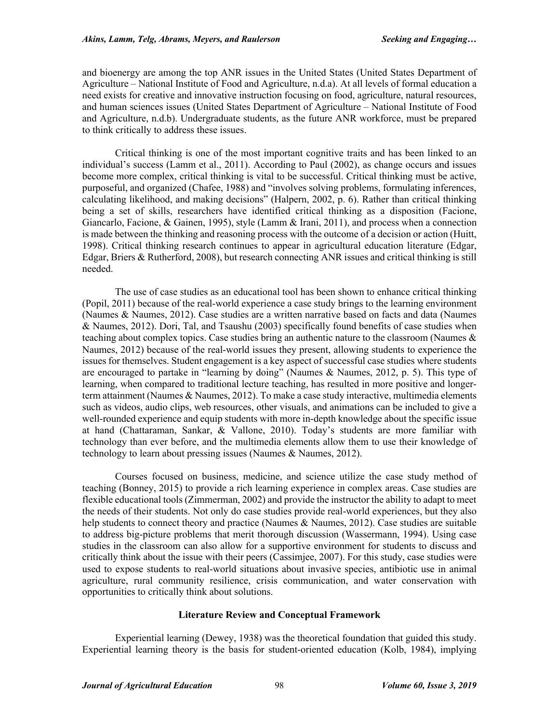and bioenergy are among the top ANR issues in the United States (United States Department of Agriculture – National Institute of Food and Agriculture, n.d.a). At all levels of formal education a need exists for creative and innovative instruction focusing on food, agriculture, natural resources, and human sciences issues (United States Department of Agriculture – National Institute of Food and Agriculture, n.d.b). Undergraduate students, as the future ANR workforce, must be prepared to think critically to address these issues.

Critical thinking is one of the most important cognitive traits and has been linked to an individual's success (Lamm et al., 2011). According to Paul (2002), as change occurs and issues become more complex, critical thinking is vital to be successful. Critical thinking must be active, purposeful, and organized (Chafee, 1988) and "involves solving problems, formulating inferences, calculating likelihood, and making decisions" (Halpern, 2002, p. 6). Rather than critical thinking being a set of skills, researchers have identified critical thinking as a disposition (Facione, Giancarlo, Facione, & Gainen, 1995), style (Lamm & Irani, 2011), and process when a connection is made between the thinking and reasoning process with the outcome of a decision or action (Huitt, 1998). Critical thinking research continues to appear in agricultural education literature (Edgar, Edgar, Briers & Rutherford, 2008), but research connecting ANR issues and critical thinking is still needed.

The use of case studies as an educational tool has been shown to enhance critical thinking (Popil, 2011) because of the real-world experience a case study brings to the learning environment (Naumes & Naumes, 2012). Case studies are a written narrative based on facts and data (Naumes & Naumes, 2012). Dori, Tal, and Tsaushu (2003) specifically found benefits of case studies when teaching about complex topics. Case studies bring an authentic nature to the classroom (Naumes  $\&$ Naumes, 2012) because of the real-world issues they present, allowing students to experience the issues for themselves. Student engagement is a key aspect of successful case studies where students are encouraged to partake in "learning by doing" (Naumes & Naumes, 2012, p. 5). This type of learning, when compared to traditional lecture teaching, has resulted in more positive and longerterm attainment (Naumes & Naumes, 2012). To make a case study interactive, multimedia elements such as videos, audio clips, web resources, other visuals, and animations can be included to give a well-rounded experience and equip students with more in-depth knowledge about the specific issue at hand (Chattaraman, Sankar, & Vallone, 2010). Today's students are more familiar with technology than ever before, and the multimedia elements allow them to use their knowledge of technology to learn about pressing issues (Naumes & Naumes, 2012).

Courses focused on business, medicine, and science utilize the case study method of teaching (Bonney, 2015) to provide a rich learning experience in complex areas. Case studies are flexible educational tools (Zimmerman, 2002) and provide the instructor the ability to adapt to meet the needs of their students. Not only do case studies provide real-world experiences, but they also help students to connect theory and practice (Naumes & Naumes, 2012). Case studies are suitable to address big-picture problems that merit thorough discussion (Wassermann, 1994). Using case studies in the classroom can also allow for a supportive environment for students to discuss and critically think about the issue with their peers (Cassimjee, 2007). For this study, case studies were used to expose students to real-world situations about invasive species, antibiotic use in animal agriculture, rural community resilience, crisis communication, and water conservation with opportunities to critically think about solutions.

## **Literature Review and Conceptual Framework**

Experiential learning (Dewey, 1938) was the theoretical foundation that guided this study. Experiential learning theory is the basis for student-oriented education (Kolb, 1984), implying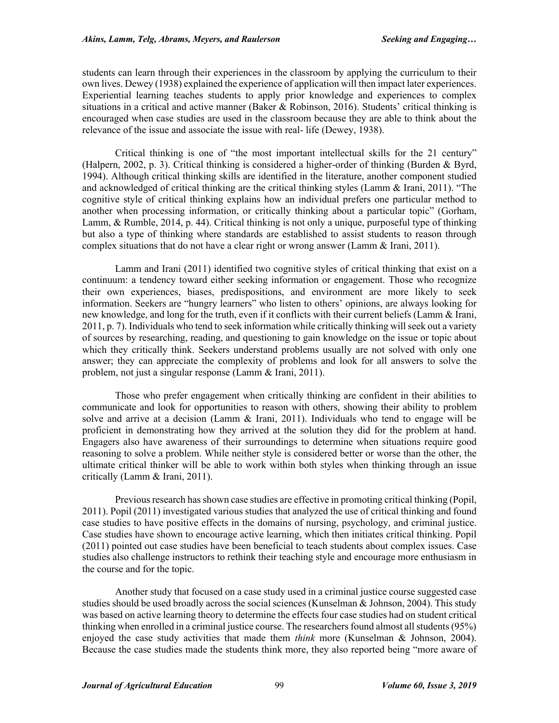students can learn through their experiences in the classroom by applying the curriculum to their own lives. Dewey (1938) explained the experience of application will then impact later experiences. Experiential learning teaches students to apply prior knowledge and experiences to complex situations in a critical and active manner (Baker & Robinson, 2016). Students' critical thinking is encouraged when case studies are used in the classroom because they are able to think about the relevance of the issue and associate the issue with real- life (Dewey, 1938).

Critical thinking is one of "the most important intellectual skills for the 21 century" (Halpern, 2002, p. 3). Critical thinking is considered a higher-order of thinking (Burden & Byrd, 1994). Although critical thinking skills are identified in the literature, another component studied and acknowledged of critical thinking are the critical thinking styles (Lamm & Irani, 2011). "The cognitive style of critical thinking explains how an individual prefers one particular method to another when processing information, or critically thinking about a particular topic" (Gorham, Lamm, & Rumble, 2014, p. 44). Critical thinking is not only a unique, purposeful type of thinking but also a type of thinking where standards are established to assist students to reason through complex situations that do not have a clear right or wrong answer (Lamm & Irani, 2011).

Lamm and Irani (2011) identified two cognitive styles of critical thinking that exist on a continuum: a tendency toward either seeking information or engagement. Those who recognize their own experiences, biases, predispositions, and environment are more likely to seek information. Seekers are "hungry learners" who listen to others' opinions, are always looking for new knowledge, and long for the truth, even if it conflicts with their current beliefs (Lamm & Irani, 2011, p. 7). Individuals who tend to seek information while critically thinking will seek out a variety of sources by researching, reading, and questioning to gain knowledge on the issue or topic about which they critically think. Seekers understand problems usually are not solved with only one answer; they can appreciate the complexity of problems and look for all answers to solve the problem, not just a singular response (Lamm & Irani, 2011).

Those who prefer engagement when critically thinking are confident in their abilities to communicate and look for opportunities to reason with others, showing their ability to problem solve and arrive at a decision (Lamm & Irani, 2011). Individuals who tend to engage will be proficient in demonstrating how they arrived at the solution they did for the problem at hand. Engagers also have awareness of their surroundings to determine when situations require good reasoning to solve a problem. While neither style is considered better or worse than the other, the ultimate critical thinker will be able to work within both styles when thinking through an issue critically (Lamm & Irani, 2011).

Previous research has shown case studies are effective in promoting critical thinking (Popil, 2011). Popil (2011) investigated various studies that analyzed the use of critical thinking and found case studies to have positive effects in the domains of nursing, psychology, and criminal justice. Case studies have shown to encourage active learning, which then initiates critical thinking. Popil (2011) pointed out case studies have been beneficial to teach students about complex issues. Case studies also challenge instructors to rethink their teaching style and encourage more enthusiasm in the course and for the topic.

Another study that focused on a case study used in a criminal justice course suggested case studies should be used broadly across the social sciences (Kunselman & Johnson, 2004). This study was based on active learning theory to determine the effects four case studies had on student critical thinking when enrolled in a criminal justice course. The researchers found almost all students (95%) enjoyed the case study activities that made them *think* more (Kunselman & Johnson, 2004). Because the case studies made the students think more, they also reported being "more aware of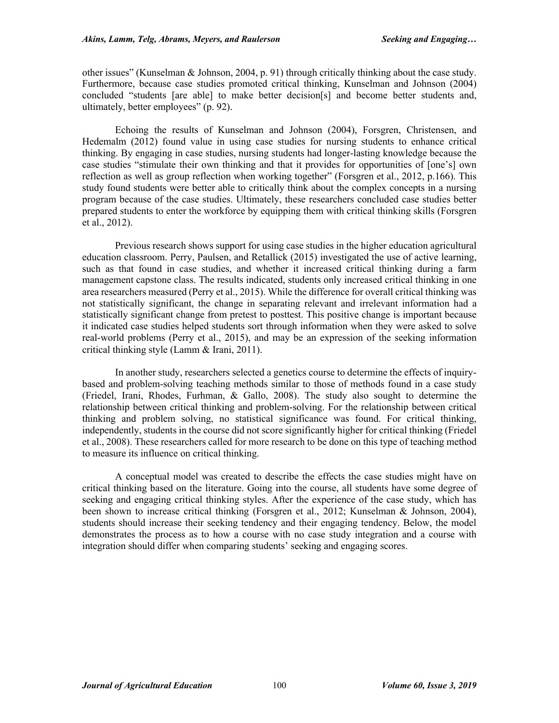other issues" (Kunselman & Johnson, 2004, p. 91) through critically thinking about the case study. Furthermore, because case studies promoted critical thinking, Kunselman and Johnson (2004) concluded "students [are able] to make better decision[s] and become better students and, ultimately, better employees" (p. 92).

Echoing the results of Kunselman and Johnson (2004), Forsgren, Christensen, and Hedemalm (2012) found value in using case studies for nursing students to enhance critical thinking. By engaging in case studies, nursing students had longer-lasting knowledge because the case studies "stimulate their own thinking and that it provides for opportunities of [one's] own reflection as well as group reflection when working together" (Forsgren et al., 2012, p.166). This study found students were better able to critically think about the complex concepts in a nursing program because of the case studies. Ultimately, these researchers concluded case studies better prepared students to enter the workforce by equipping them with critical thinking skills (Forsgren et al., 2012).

Previous research shows support for using case studies in the higher education agricultural education classroom. Perry, Paulsen, and Retallick (2015) investigated the use of active learning, such as that found in case studies, and whether it increased critical thinking during a farm management capstone class. The results indicated, students only increased critical thinking in one area researchers measured (Perry et al., 2015). While the difference for overall critical thinking was not statistically significant, the change in separating relevant and irrelevant information had a statistically significant change from pretest to posttest. This positive change is important because it indicated case studies helped students sort through information when they were asked to solve real-world problems (Perry et al., 2015), and may be an expression of the seeking information critical thinking style (Lamm & Irani, 2011).

In another study, researchers selected a genetics course to determine the effects of inquirybased and problem-solving teaching methods similar to those of methods found in a case study (Friedel, Irani, Rhodes, Furhman, & Gallo, 2008). The study also sought to determine the relationship between critical thinking and problem-solving. For the relationship between critical thinking and problem solving, no statistical significance was found. For critical thinking, independently, students in the course did not score significantly higher for critical thinking (Friedel et al., 2008). These researchers called for more research to be done on this type of teaching method to measure its influence on critical thinking.

A conceptual model was created to describe the effects the case studies might have on critical thinking based on the literature. Going into the course, all students have some degree of seeking and engaging critical thinking styles. After the experience of the case study, which has been shown to increase critical thinking (Forsgren et al., 2012; Kunselman & Johnson, 2004), students should increase their seeking tendency and their engaging tendency. Below, the model demonstrates the process as to how a course with no case study integration and a course with integration should differ when comparing students' seeking and engaging scores.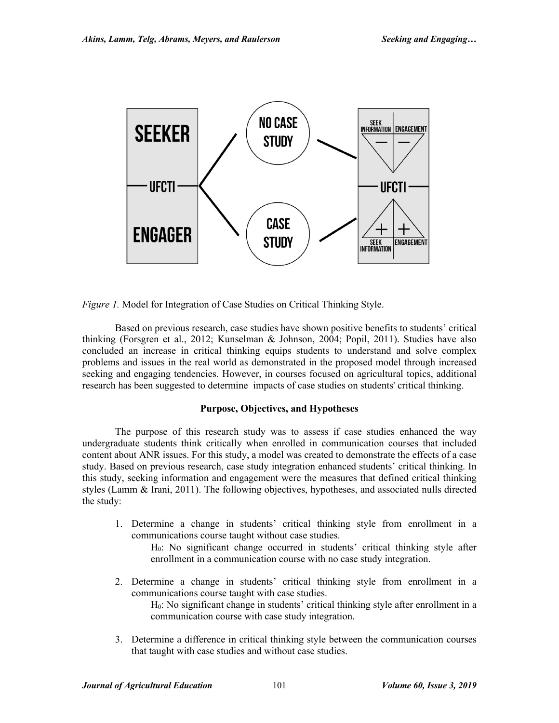

*Figure 1.* Model for Integration of Case Studies on Critical Thinking Style.

Based on previous research, case studies have shown positive benefits to students' critical thinking (Forsgren et al., 2012; Kunselman & Johnson, 2004; Popil, 2011). Studies have also concluded an increase in critical thinking equips students to understand and solve complex problems and issues in the real world as demonstrated in the proposed model through increased seeking and engaging tendencies. However, in courses focused on agricultural topics, additional research has been suggested to determine impacts of case studies on students' critical thinking.

# **Purpose, Objectives, and Hypotheses**

The purpose of this research study was to assess if case studies enhanced the way undergraduate students think critically when enrolled in communication courses that included content about ANR issues. For this study, a model was created to demonstrate the effects of a case study. Based on previous research, case study integration enhanced students' critical thinking. In this study, seeking information and engagement were the measures that defined critical thinking styles (Lamm & Irani, 2011). The following objectives, hypotheses, and associated nulls directed the study:

1. Determine a change in students' critical thinking style from enrollment in a communications course taught without case studies.

H0: No significant change occurred in students' critical thinking style after enrollment in a communication course with no case study integration.

- 2. Determine a change in students' critical thinking style from enrollment in a communications course taught with case studies. H0: No significant change in students' critical thinking style after enrollment in a communication course with case study integration.
- 3. Determine a difference in critical thinking style between the communication courses that taught with case studies and without case studies.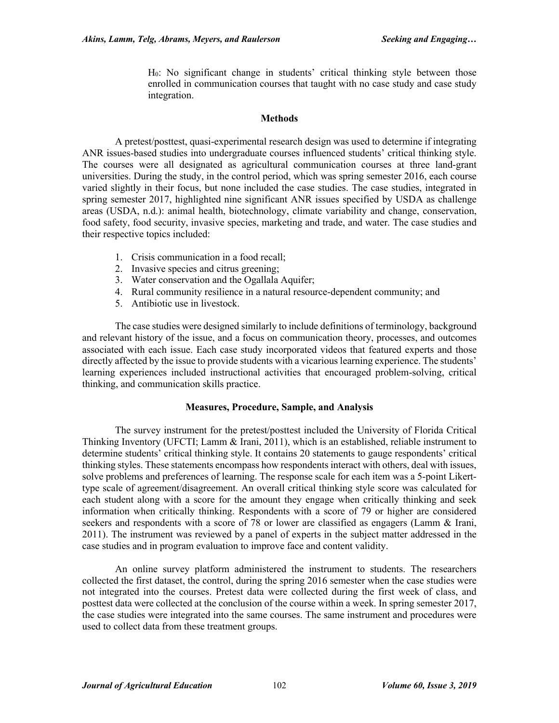H0: No significant change in students' critical thinking style between those enrolled in communication courses that taught with no case study and case study integration.

#### **Methods**

A pretest/posttest, quasi-experimental research design was used to determine if integrating ANR issues-based studies into undergraduate courses influenced students' critical thinking style. The courses were all designated as agricultural communication courses at three land-grant universities. During the study, in the control period, which was spring semester 2016, each course varied slightly in their focus, but none included the case studies. The case studies, integrated in spring semester 2017, highlighted nine significant ANR issues specified by USDA as challenge areas (USDA, n.d.): animal health, biotechnology, climate variability and change, conservation, food safety, food security, invasive species, marketing and trade, and water. The case studies and their respective topics included:

- 1. Crisis communication in a food recall;
- 2. Invasive species and citrus greening;
- 3. Water conservation and the Ogallala Aquifer;
- 4. Rural community resilience in a natural resource-dependent community; and
- 5. Antibiotic use in livestock.

The case studies were designed similarly to include definitions of terminology, background and relevant history of the issue, and a focus on communication theory, processes, and outcomes associated with each issue. Each case study incorporated videos that featured experts and those directly affected by the issue to provide students with a vicarious learning experience. The students' learning experiences included instructional activities that encouraged problem-solving, critical thinking, and communication skills practice.

## **Measures, Procedure, Sample, and Analysis**

The survey instrument for the pretest/posttest included the University of Florida Critical Thinking Inventory (UFCTI; Lamm & Irani, 2011), which is an established, reliable instrument to determine students' critical thinking style. It contains 20 statements to gauge respondents' critical thinking styles. These statements encompass how respondents interact with others, deal with issues, solve problems and preferences of learning. The response scale for each item was a 5-point Likerttype scale of agreement/disagreement. An overall critical thinking style score was calculated for each student along with a score for the amount they engage when critically thinking and seek information when critically thinking. Respondents with a score of 79 or higher are considered seekers and respondents with a score of 78 or lower are classified as engagers (Lamm & Irani, 2011). The instrument was reviewed by a panel of experts in the subject matter addressed in the case studies and in program evaluation to improve face and content validity.

An online survey platform administered the instrument to students. The researchers collected the first dataset, the control, during the spring 2016 semester when the case studies were not integrated into the courses. Pretest data were collected during the first week of class, and posttest data were collected at the conclusion of the course within a week. In spring semester 2017, the case studies were integrated into the same courses. The same instrument and procedures were used to collect data from these treatment groups.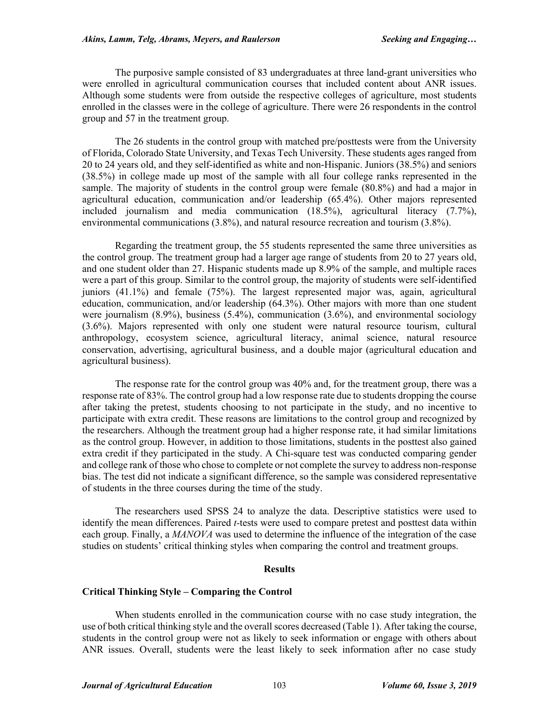The purposive sample consisted of 83 undergraduates at three land-grant universities who were enrolled in agricultural communication courses that included content about ANR issues. Although some students were from outside the respective colleges of agriculture, most students enrolled in the classes were in the college of agriculture. There were 26 respondents in the control group and 57 in the treatment group.

The 26 students in the control group with matched pre/posttests were from the University of Florida, Colorado State University, and Texas Tech University. These students ages ranged from 20 to 24 years old, and they self-identified as white and non-Hispanic. Juniors (38.5%) and seniors (38.5%) in college made up most of the sample with all four college ranks represented in the sample. The majority of students in the control group were female (80.8%) and had a major in agricultural education, communication and/or leadership (65.4%). Other majors represented included journalism and media communication (18.5%), agricultural literacy (7.7%), environmental communications (3.8%), and natural resource recreation and tourism (3.8%).

Regarding the treatment group, the 55 students represented the same three universities as the control group. The treatment group had a larger age range of students from 20 to 27 years old, and one student older than 27. Hispanic students made up 8.9% of the sample, and multiple races were a part of this group. Similar to the control group, the majority of students were self-identified juniors (41.1%) and female (75%). The largest represented major was, again, agricultural education, communication, and/or leadership (64.3%). Other majors with more than one student were journalism (8.9%), business (5.4%), communication (3.6%), and environmental sociology (3.6%). Majors represented with only one student were natural resource tourism, cultural anthropology, ecosystem science, agricultural literacy, animal science, natural resource conservation, advertising, agricultural business, and a double major (agricultural education and agricultural business).

The response rate for the control group was 40% and, for the treatment group, there was a response rate of 83%. The control group had a low response rate due to students dropping the course after taking the pretest, students choosing to not participate in the study, and no incentive to participate with extra credit. These reasons are limitations to the control group and recognized by the researchers. Although the treatment group had a higher response rate, it had similar limitations as the control group. However, in addition to those limitations, students in the posttest also gained extra credit if they participated in the study. A Chi-square test was conducted comparing gender and college rank of those who chose to complete or not complete the survey to address non-response bias. The test did not indicate a significant difference, so the sample was considered representative of students in the three courses during the time of the study.

The researchers used SPSS 24 to analyze the data. Descriptive statistics were used to identify the mean differences. Paired *t-*tests were used to compare pretest and posttest data within each group. Finally, a *MANOVA* was used to determine the influence of the integration of the case studies on students' critical thinking styles when comparing the control and treatment groups.

#### **Results**

## **Critical Thinking Style – Comparing the Control**

When students enrolled in the communication course with no case study integration, the use of both critical thinking style and the overall scores decreased (Table 1). After taking the course, students in the control group were not as likely to seek information or engage with others about ANR issues. Overall, students were the least likely to seek information after no case study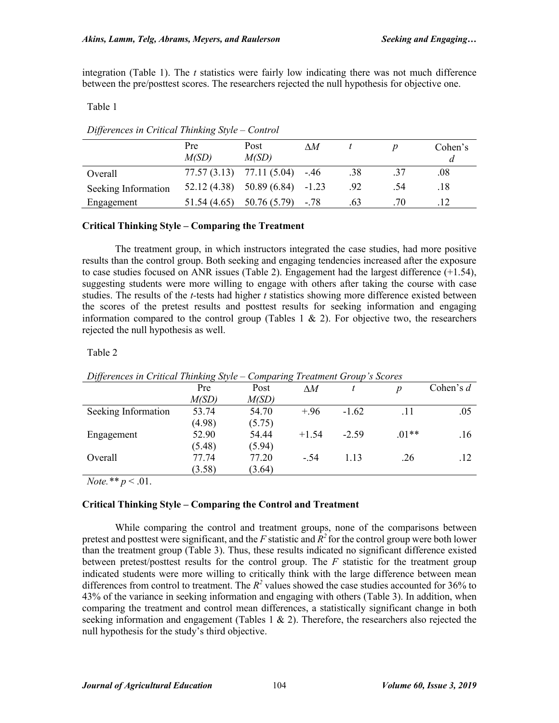integration (Table 1). The *t* statistics were fairly low indicating there was not much difference between the pre/posttest scores. The researchers rejected the null hypothesis for objective one.

# Table 1

# *Differences in Critical Thinking Style – Control*

|                     | Pre<br>M(SD) | Post<br>M(SD)                       | $\wedge M$ |     |     | Cohen's |
|---------------------|--------------|-------------------------------------|------------|-----|-----|---------|
| Overall             |              | $77.57(3.13)$ $77.11(5.04)$ $-0.46$ |            | .38 | .37 | $.08\,$ |
| Seeking Information | 52.12(4.38)  | $50.89(6.84) -1.23$                 |            | .92 | .54 | .18     |
| Engagement          | 51.54 (4.65) | $50.76(5.79)$ -.78                  |            | .63 | .70 |         |

# **Critical Thinking Style – Comparing the Treatment**

The treatment group, in which instructors integrated the case studies, had more positive results than the control group. Both seeking and engaging tendencies increased after the exposure to case studies focused on ANR issues (Table 2). Engagement had the largest difference  $(+1.54)$ , suggesting students were more willing to engage with others after taking the course with case studies. The results of the *t-*tests had higher *t* statistics showing more difference existed between the scores of the pretest results and posttest results for seeking information and engaging information compared to the control group (Tables 1  $\&$  2). For objective two, the researchers rejected the null hypothesis as well.

# Table 2

| $D$ ifferences in Critical Thinking Style – Comparing Treatment Group's Scores |        |        |            |         |                  |             |  |  |
|--------------------------------------------------------------------------------|--------|--------|------------|---------|------------------|-------------|--|--|
|                                                                                | Pre    | Post   | $\wedge M$ |         | $\boldsymbol{p}$ | Cohen's $d$ |  |  |
|                                                                                | M(SD)  | M(SD)  |            |         |                  |             |  |  |
| Seeking Information                                                            | 53.74  | 54.70  | $+.96$     | $-1.62$ | .11              | .05         |  |  |
|                                                                                | (4.98) | (5.75) |            |         |                  |             |  |  |
| Engagement                                                                     | 52.90  | 54.44  | $+1.54$    | $-2.59$ | $.01**$          | .16         |  |  |
|                                                                                | (5.48) | (5.94) |            |         |                  |             |  |  |
| Overall                                                                        | 77.74  | 77.20  | $-.54$     | 1.13    | .26              | .12         |  |  |
|                                                                                | (3.58) | (3.64) |            |         |                  |             |  |  |
|                                                                                |        |        |            |         |                  |             |  |  |

*Differences in Critical Thinking Style – Comparing Treatment Group's Scores*

*Note.\*\* p* < .01.

# **Critical Thinking Style – Comparing the Control and Treatment**

While comparing the control and treatment groups, none of the comparisons between pretest and posttest were significant, and the *F* statistic and *R2* for the control group were both lower than the treatment group (Table 3). Thus, these results indicated no significant difference existed between pretest/posttest results for the control group. The *F* statistic for the treatment group indicated students were more willing to critically think with the large difference between mean differences from control to treatment. The  $R^2$  values showed the case studies accounted for 36% to 43% of the variance in seeking information and engaging with others (Table 3). In addition, when comparing the treatment and control mean differences, a statistically significant change in both seeking information and engagement (Tables 1  $\&$  2). Therefore, the researchers also rejected the null hypothesis for the study's third objective.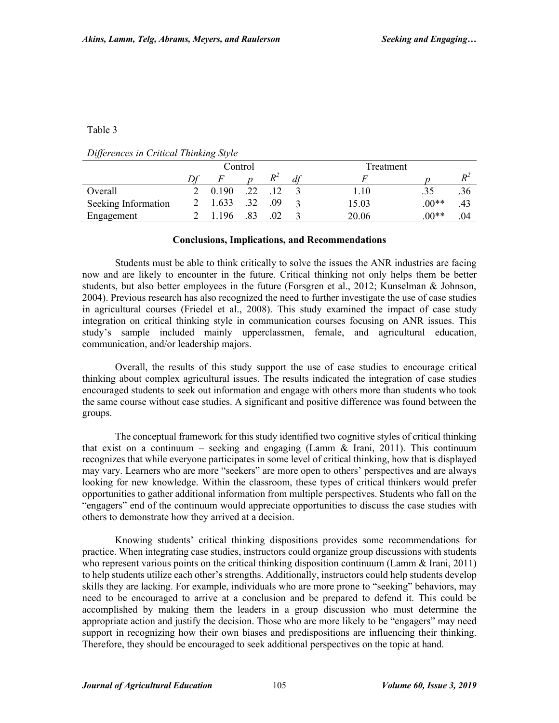## Table 3

|  | Differences in Critical Thinking Style |  |  |  |  |
|--|----------------------------------------|--|--|--|--|
|--|----------------------------------------|--|--|--|--|

|                     |       | Control |     |    | Treatment |         |                |
|---------------------|-------|---------|-----|----|-----------|---------|----------------|
|                     |       |         | ĸ   | df |           |         | $\mathbf{D}^2$ |
| Overall             | 0.190 | .22     |     |    | 1.10      |         | .36            |
| Seeking Information | 1.633 | .32     | .09 |    | 15.03     | $.00**$ | .43            |
| Engagement          | 196   |         |     |    | 20.06     | $.00**$ | .04            |

## **Conclusions, Implications, and Recommendations**

Students must be able to think critically to solve the issues the ANR industries are facing now and are likely to encounter in the future. Critical thinking not only helps them be better students, but also better employees in the future (Forsgren et al., 2012; Kunselman & Johnson, 2004). Previous research has also recognized the need to further investigate the use of case studies in agricultural courses (Friedel et al., 2008). This study examined the impact of case study integration on critical thinking style in communication courses focusing on ANR issues. This study's sample included mainly upperclassmen, female, and agricultural education, communication, and/or leadership majors.

Overall, the results of this study support the use of case studies to encourage critical thinking about complex agricultural issues. The results indicated the integration of case studies encouraged students to seek out information and engage with others more than students who took the same course without case studies. A significant and positive difference was found between the groups.

The conceptual framework for this study identified two cognitive styles of critical thinking that exist on a continuum – seeking and engaging (Lamm  $\&$  Irani, 2011). This continuum recognizes that while everyone participates in some level of critical thinking, how that is displayed may vary. Learners who are more "seekers" are more open to others' perspectives and are always looking for new knowledge. Within the classroom, these types of critical thinkers would prefer opportunities to gather additional information from multiple perspectives. Students who fall on the "engagers" end of the continuum would appreciate opportunities to discuss the case studies with others to demonstrate how they arrived at a decision.

Knowing students' critical thinking dispositions provides some recommendations for practice. When integrating case studies, instructors could organize group discussions with students who represent various points on the critical thinking disposition continuum (Lamm & Irani, 2011) to help students utilize each other's strengths. Additionally, instructors could help students develop skills they are lacking. For example, individuals who are more prone to "seeking" behaviors, may need to be encouraged to arrive at a conclusion and be prepared to defend it. This could be accomplished by making them the leaders in a group discussion who must determine the appropriate action and justify the decision. Those who are more likely to be "engagers" may need support in recognizing how their own biases and predispositions are influencing their thinking. Therefore, they should be encouraged to seek additional perspectives on the topic at hand.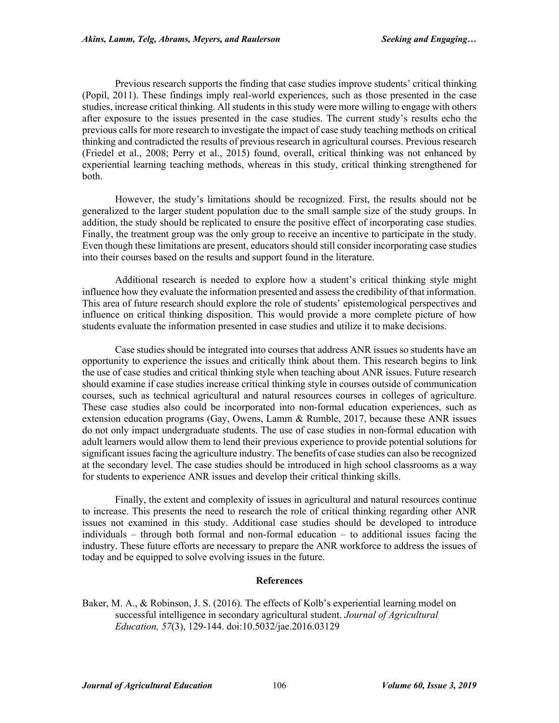Previous research supports the finding that case studies improve students' critical thinking (Popil, 2011). These findings imply real-world experiences, such as those presented in the case studies, increase critical thinking. All students in this study were more willing to engage with others after exposure to the issues presented in the case studies. The current study's results echo the previous calls for more research to investigate the impact of case study teaching methods on critical thinking and contradicted the results of previous research in agricultural courses. Previous research (Friedel et al., 2008; Perry et al., 2015) found, overall, critical thinking was not enhanced by experiential learning teaching methods, whereas in this study, critical thinking strengthened for both.

However, the study's limitations should be recognized. First, the results should not be generalized to the larger student population due to the small sample size of the study groups. In addition, the study should be replicated to ensure the positive effect of incorporating case studies. Finally, the treatment group was the only group to receive an incentive to participate in the study. Even though these limitations are present, educators should still consider incorporating case studies into their courses based on the results and support found in the literature.

Additional research is needed to explore how a student's critical thinking style might influence how they evaluate the information presented and assess the credibility of that information. This area of future research should explore the role of students' epistemological perspectives and influence on critical thinking disposition. This would provide a more complete picture of how students evaluate the information presented in case studies and utilize it to make decisions.

Case studies should be integrated into courses that address ANR issues so students have an opportunity to experience the issues and critically think about them. This research begins to link the use of case studies and critical thinking style when teaching about ANR issues. Future research should examine if case studies increase critical thinking style in courses outside of communication courses, such as technical agricultural and natural resources courses in colleges of agriculture. These case studies also could be incorporated into non-formal education experiences, such as extension education programs (Gay, Owens, Lamm & Rumble, 2017, because these ANR issues do not only impact undergraduate students. The use of case studies in non-formal education with adult learners would allow them to lend their previous experience to provide potential solutions for significant issues facing the agriculture industry. The benefits of case studies can also be recognized at the secondary level. The case studies should be introduced in high school classrooms as a way for students to experience ANR issues and develop their critical thinking skills.

Finally, the extent and complexity of issues in agricultural and natural resources continue to increase. This presents the need to research the role of critical thinking regarding other ANR issues not examined in this study. Additional case studies should be developed to introduce individuals – through both formal and non-formal education – to additional issues facing the industry. These future efforts are necessary to prepare the ANR workforce to address the issues of today and be equipped to solve evolving issues in the future.

# **References**

Baker, M. A., & Robinson, J. S. (2016). The effects of Kolb's experiential learning model on successful intelligence in secondary agricultural student. *Journal of Agricultural Education, 57*(3), 129-144. doi:10.5032/jae.2016.03129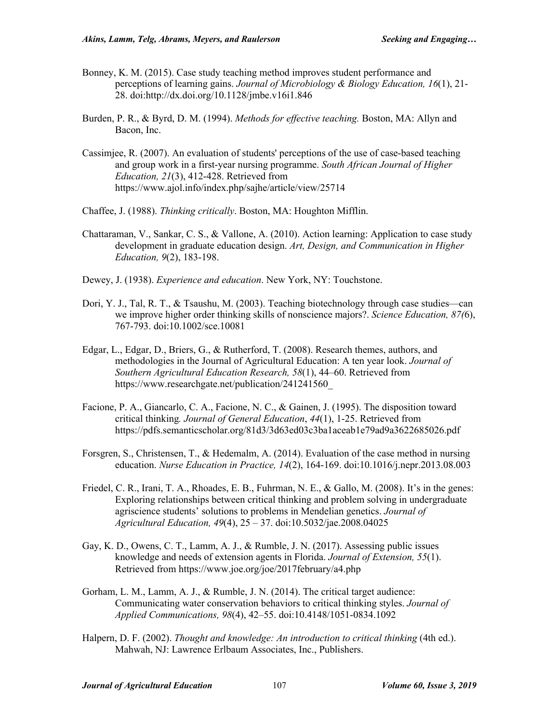- Bonney, K. M. (2015). Case study teaching method improves student performance and perceptions of learning gains. *Journal of Microbiology & Biology Education, 16*(1), 21- 28. doi:http://dx.doi.org/10.1128/jmbe.v16i1.846
- Burden, P. R., & Byrd, D. M. (1994). *Methods for effective teaching.* Boston, MA: Allyn and Bacon, Inc.
- Cassimjee, R. (2007). An evaluation of students' perceptions of the use of case-based teaching and group work in a first-year nursing programme. *South African Journal of Higher Education, 21*(3), 412-428. Retrieved from https://www.ajol.info/index.php/sajhe/article/view/25714
- Chaffee, J. (1988). *Thinking critically*. Boston, MA: Houghton Mifflin.
- Chattaraman, V., Sankar, C. S., & Vallone, A. (2010). Action learning: Application to case study development in graduate education design. *Art, Design, and Communication in Higher Education, 9*(2), 183-198.
- Dewey, J. (1938). *Experience and education*. New York, NY: Touchstone.
- Dori, Y. J., Tal, R. T., & Tsaushu, M. (2003). Teaching biotechnology through case studies—can we improve higher order thinking skills of nonscience majors?. *Science Education, 87(*6), 767-793. doi:10.1002/sce.10081
- Edgar, L., Edgar, D., Briers, G., & Rutherford, T. (2008). Research themes, authors, and methodologies in the Journal of Agricultural Education: A ten year look. *Journal of Southern Agricultural Education Research, 58*(1), 44–60. Retrieved from https://www.researchgate.net/publication/241241560\_
- Facione, P. A., Giancarlo, C. A., Facione, N. C., & Gainen, J. (1995). The disposition toward critical thinking*. Journal of General Education*, *44*(1), 1-25. Retrieved from https://pdfs.semanticscholar.org/81d3/3d63ed03c3ba1aceab1e79ad9a3622685026.pdf
- Forsgren, S., Christensen, T., & Hedemalm, A. (2014). Evaluation of the case method in nursing education. *Nurse Education in Practice, 14*(2), 164-169. doi:10.1016/j.nepr.2013.08.003
- Friedel, C. R., Irani, T. A., Rhoades, E. B., Fuhrman, N. E., & Gallo, M. (2008). It's in the genes: Exploring relationships between critical thinking and problem solving in undergraduate agriscience students' solutions to problems in Mendelian genetics. *Journal of Agricultural Education, 49*(4), 25 – 37. doi:10.5032/jae.2008.04025
- Gay, K. D., Owens, C. T., Lamm, A. J., & Rumble, J. N. (2017). Assessing public issues knowledge and needs of extension agents in Florida. *Journal of Extension, 55*(1). Retrieved from https://www.joe.org/joe/2017february/a4.php
- Gorham, L. M., Lamm, A. J., & Rumble, J. N. (2014). The critical target audience: Communicating water conservation behaviors to critical thinking styles. *Journal of Applied Communications, 98*(4), 42–55. doi:10.4148/1051-0834.1092
- Halpern, D. F. (2002). *Thought and knowledge: An introduction to critical thinking* (4th ed.). Mahwah, NJ: Lawrence Erlbaum Associates, Inc., Publishers.